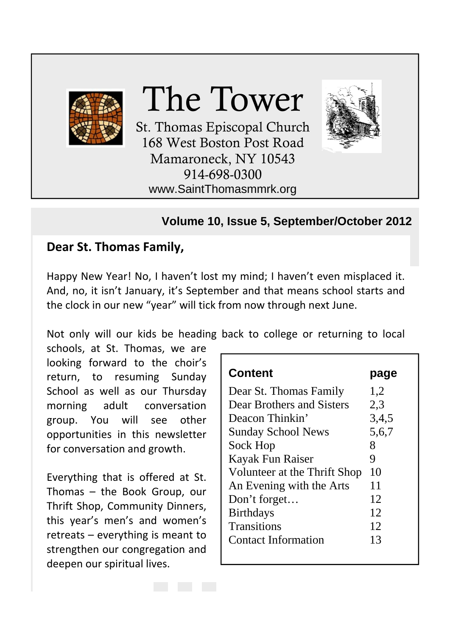

#### **Volume 10, Issue 5, September/October 2012**

#### **Dear St. Thomas Family,**

Happy New Year! No, I haven't lost my mind; I haven't even misplaced it. And, no, it isn't January, it's September and that means school starts and the clock in our new "year" will tick from now through next June.

Not only will our kids be heading back to college or returning to local

schools, at St. Thomas, we are looking forward to the choir's return, to resuming Sunday School as well as our Thursday morning adult conversation group. You will see other opportunities in this newsletter for conversation and growth.

Everything that is offered at St. Thomas – the Book Group, our Thrift Shop, Community Dinners, this year's men's and women's retreats – everything is meant to strengthen our congregation and deepen our spiritual lives.

| page  |
|-------|
| 1,2   |
| 2,3   |
| 3,4,5 |
| 5,6,7 |
| 8     |
| 9     |
| 10    |
| 11    |
| 12    |
| 12    |
| 12    |
| 13    |
|       |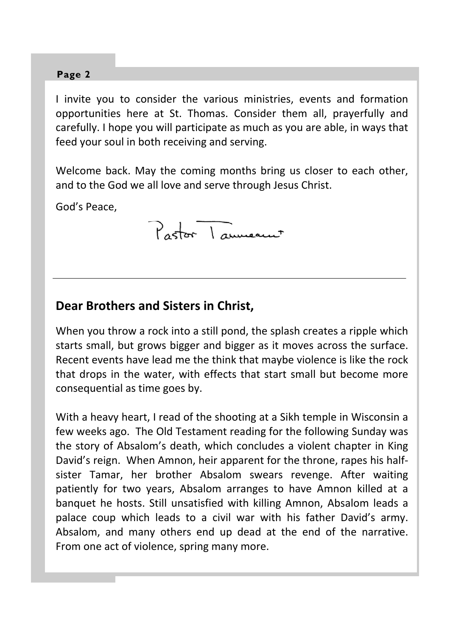I invite you to consider the various ministries, events and formation opportunities here at St. Thomas. Consider them all, prayerfully and carefully. I hope you will participate as much as you are able, in ways that feed your soul in both receiving and serving.

Welcome back. May the coming months bring us closer to each other, and to the God we all love and serve through Jesus Christ.

God's Peace,

Pastor Laumeaux

#### **Dear Brothers and Sisters in Christ,**

When you throw a rock into a still pond, the splash creates a ripple which starts small, but grows bigger and bigger as it moves across the surface. Recent events have lead me the think that maybe violence is like the rock that drops in the water, with effects that start small but become more consequential as time goes by.

With a heavy heart, I read of the shooting at a Sikh temple in Wisconsin a few weeks ago. The Old Testament reading for the following Sunday was the story of Absalom's death, which concludes a violent chapter in King David's reign. When Amnon, heir apparent for the throne, rapes his half‐ sister Tamar, her brother Absalom swears revenge. After waiting patiently for two years, Absalom arranges to have Amnon killed at a banquet he hosts. Still unsatisfied with killing Amnon, Absalom leads a palace coup which leads to a civil war with his father David's army. Absalom, and many others end up dead at the end of the narrative. From one act of violence, spring many more.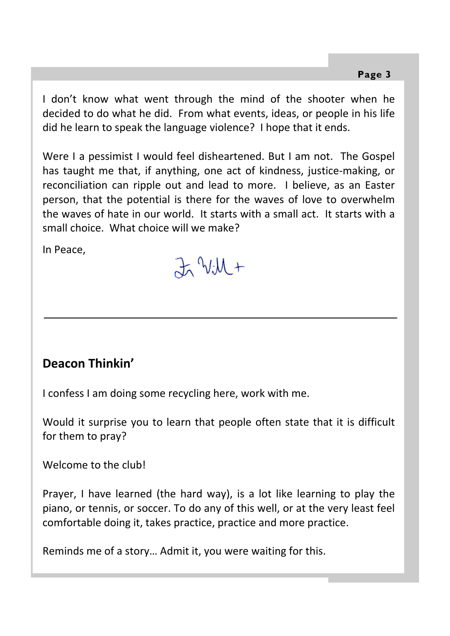I don't know what went through the mind of the shooter when he decided to do what he did. From what events, ideas, or people in his life did he learn to speak the language violence? I hope that it ends.

Were I a pessimist I would feel disheartened. But I am not. The Gospel has taught me that, if anything, one act of kindness, justice-making, or reconciliation can ripple out and lead to more. I believe, as an Easter person, that the potential is there for the waves of love to overwhelm the waves of hate in our world. It starts with a small act. It starts with a small choice. What choice will we make?

In Peace,

 $Jx$   $Vx +$ 

### **Deacon Thinkin'**

I confess I am doing some recycling here, work with me.

Would it surprise you to learn that people often state that it is difficult for them to pray?

Welcome to the club!

Prayer, I have learned (the hard way), is a lot like learning to play the piano, or tennis, or soccer. To do any of this well, or at the very least feel comfortable doing it, takes practice, practice and more practice.

Reminds me of a story… Admit it, you were waiting for this.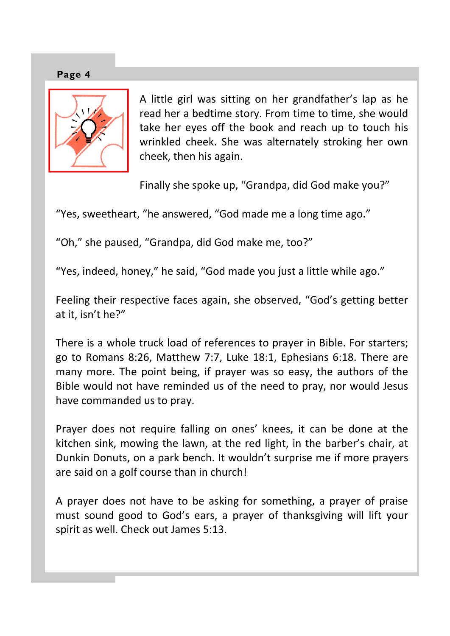



A little girl was sitting on her grandfather's lap as he read her a bedtime story. From time to time, she would take her eyes off the book and reach up to touch his wrinkled cheek. She was alternately stroking her own cheek, then his again.

Finally she spoke up, "Grandpa, did God make you?"

"Yes, sweetheart, "he answered, "God made me a long time ago."

"Oh," she paused, "Grandpa, did God make me, too?"

"Yes, indeed, honey," he said, "God made you just a little while ago."

Feeling their respective faces again, she observed, "God's getting better at it, isn't he?"

There is a whole truck load of references to prayer in Bible. For starters; go to Romans 8:26, Matthew 7:7, Luke 18:1, Ephesians 6:18. There are many more. The point being, if prayer was so easy, the authors of the Bible would not have reminded us of the need to pray, nor would Jesus have commanded us to pray.

Prayer does not require falling on ones' knees, it can be done at the kitchen sink, mowing the lawn, at the red light, in the barber's chair, at Dunkin Donuts, on a park bench. It wouldn't surprise me if more prayers are said on a golf course than in church!

A prayer does not have to be asking for something, a prayer of praise must sound good to God's ears, a prayer of thanksgiving will lift your spirit as well. Check out James 5:13.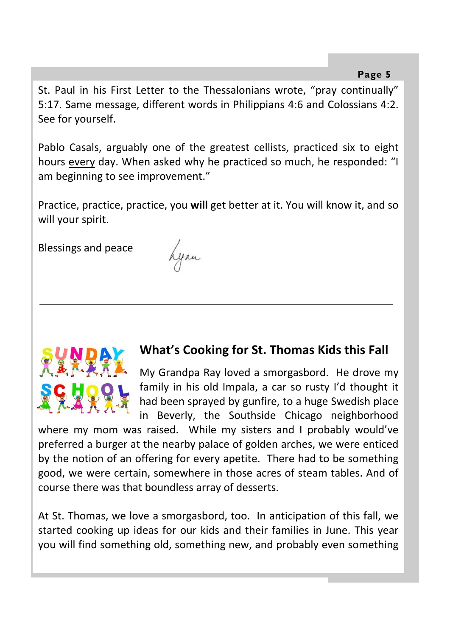St. Paul in his First Letter to the Thessalonians wrote, "pray continually" 5:17. Same message, different words in Philippians 4:6 and Colossians 4:2. See for yourself.

Pablo Casals, arguably one of the greatest cellists, practiced six to eight hours every day. When asked why he practiced so much, he responded: "I am beginning to see improvement."

Practice, practice, practice, you **will** get better at it. You will know it, and so will your spirit.

Blessings and peace

Lynn



### **What's Cooking for St. Thomas Kids this Fall**

My Grandpa Ray loved a smorgasbord. He drove my family in his old Impala, a car so rusty I'd thought it had been sprayed by gunfire, to a huge Swedish place in Beverly, the Southside Chicago neighborhood

where my mom was raised. While my sisters and I probably would've preferred a burger at the nearby palace of golden arches, we were enticed by the notion of an offering for every apetite. There had to be something good, we were certain, somewhere in those acres of steam tables. And of course there was that boundless array of desserts.

At St. Thomas, we love a smorgasbord, too. In anticipation of this fall, we started cooking up ideas for our kids and their families in June. This year you will find something old, something new, and probably even something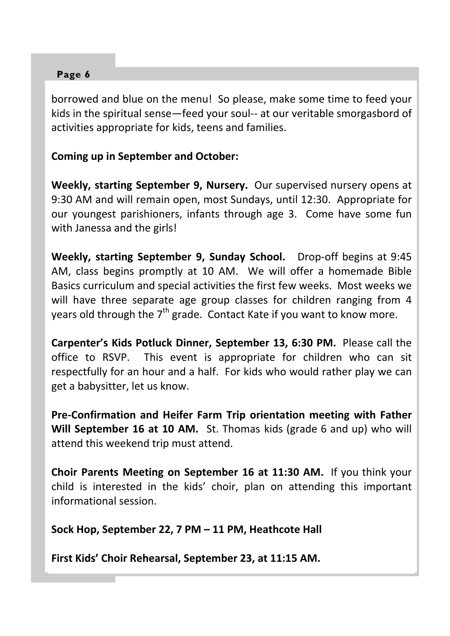borrowed and blue on the menu! So please, make some time to feed your kids in the spiritual sense—feed your soul-- at our veritable smorgasbord of activities appropriate for kids, teens and families.

#### **Coming up in September and October:**

**Weekly, starting September 9, Nursery.** Our supervised nursery opens at 9:30 AM and will remain open, most Sundays, until 12:30. Appropriate for our youngest parishioners, infants through age 3. Come have some fun with Janessa and the girls!

**Weekly, starting September 9, Sunday School.** Drop‐off begins at 9:45 AM, class begins promptly at 10 AM. We will offer a homemade Bible Basics curriculum and special activities the first few weeks. Most weeks we will have three separate age group classes for children ranging from 4 years old through the  $7<sup>th</sup>$  grade. Contact Kate if you want to know more.

**Carpenter's Kids Potluck Dinner, September 13, 6:30 PM.** Please call the office to RSVP. This event is appropriate for children who can sit respectfully for an hour and a half. For kids who would rather play we can get a babysitter, let us know.

**Pre‐Confirmation and Heifer Farm Trip orientation meeting with Father Will September 16 at 10 AM.** St. Thomas kids (grade 6 and up) who will attend this weekend trip must attend.

**Choir Parents Meeting on September 16 at 11:30 AM.** If you think your child is interested in the kids' choir, plan on attending this important informational session.

**Sock Hop, September 22, 7 PM – 11 PM, Heathcote Hall**

**First Kids' Choir Rehearsal, September 23, at 11:15 AM.**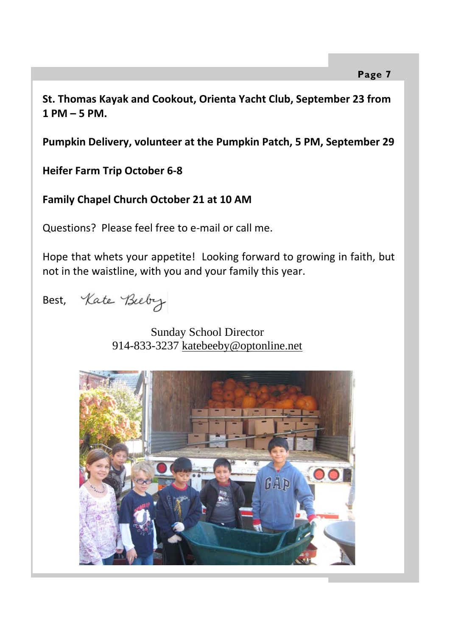**St. Thomas Kayak and Cookout, Orienta Yacht Club, September 23 from 1 PM – 5 PM.**

**Pumpkin Delivery, volunteer at the Pumpkin Patch, 5 PM, September 29**

**Heifer Farm Trip October 6‐8**

**Family Chapel Church October 21 at 10 AM**

Questions? Please feel free to e‐mail or call me.

Hope that whets your appetite! Looking forward to growing in faith, but not in the waistline, with you and your family this year.

Best, Kate Beeby

 Sunday School Director 914-833-3237 katebeeby@optonline.net

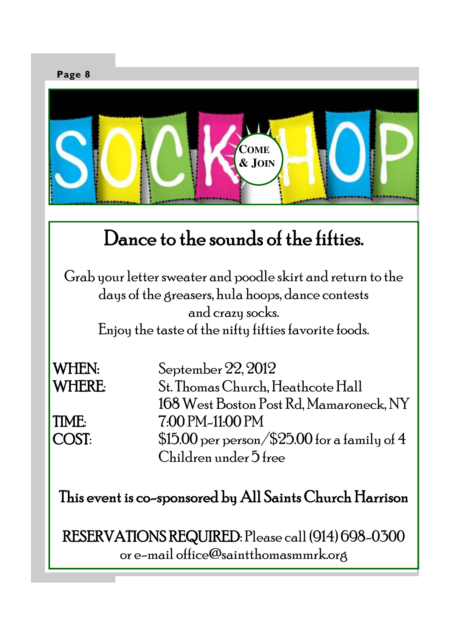

# Dance to the sounds of the fifties.

Grab your letter sweater and poodle skirt and return to the days of the greasers, hula hoops, dance contests and crazy socks.

Enjoy the taste of the nifty fifties favorite foods.

WHEN: September 22, 2012

WHERE: St. Thomas Church, Heathcote Hall 168 West Boston Post Rd, Mamaroneck, NY TIME: 7:00 PM-11:00 PM COST:  $$15.00$  per person/\$25.00 for a family of 4 Children under 5 free

This event is co-sponsored by All Saints Church Harrison

RESERVATIONS REQUIRED: Please call (914) 698-0300 or e-mail office@saintthomasmmrk.org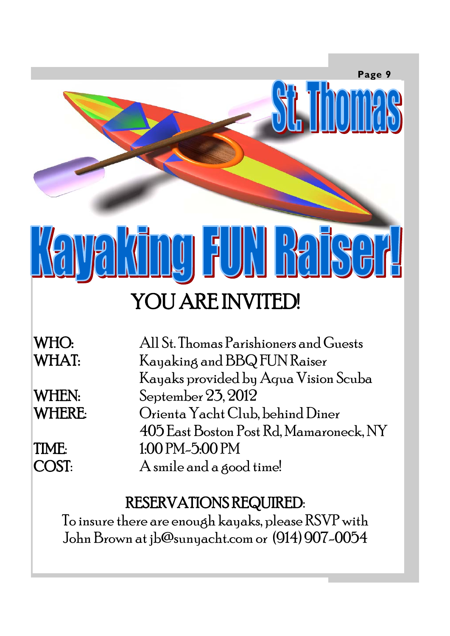

# YOU ARE INVITED!

WHO: All St. Thomas Parishioners and Guests WHAT: Kayaking and BBQ FUN Raiser Kayaks provided by Aqua Vision Scuba WHEN: September 23, 2012 WHERE: Orienta Yacht Club, behind Diner 405 East Boston Post Rd, Mamaroneck, NY TIME: 1:00 PM-5:00 PM COST: A smile and a good time!

## RESERVATIONS REQUIRED:

To insure there are enough kayaks, please RSVP with John Brown at jb@sunyacht.com or (914) 907-0054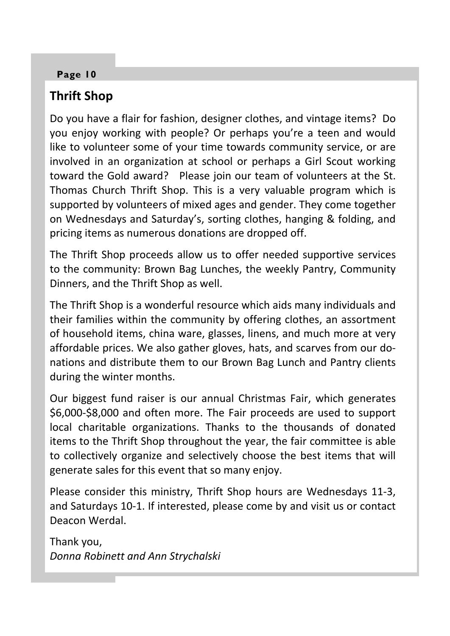## **Thrift Shop**

Do you have a flair for fashion, designer clothes, and vintage items? Do you enjoy working with people? Or perhaps you're a teen and would like to volunteer some of your time towards community service, or are involved in an organization at school or perhaps a Girl Scout working toward the Gold award? Please join our team of volunteers at the St. Thomas Church Thrift Shop. This is a very valuable program which is supported by volunteers of mixed ages and gender. They come together on Wednesdays and Saturday's, sorting clothes, hanging & folding, and pricing items as numerous donations are dropped off.

The Thrift Shop proceeds allow us to offer needed supportive services to the community: Brown Bag Lunches, the weekly Pantry, Community Dinners, and the Thrift Shop as well.

The Thrift Shop is a wonderful resource which aids many individuals and their families within the community by offering clothes, an assortment of household items, china ware, glasses, linens, and much more at very affordable prices. We also gather gloves, hats, and scarves from our do‐ nations and distribute them to our Brown Bag Lunch and Pantry clients during the winter months.

Our biggest fund raiser is our annual Christmas Fair, which generates \$6,000‐\$8,000 and often more. The Fair proceeds are used to support local charitable organizations. Thanks to the thousands of donated items to the Thrift Shop throughout the year, the fair committee is able to collectively organize and selectively choose the best items that will generate sales for this event that so many enjoy.

Please consider this ministry, Thrift Shop hours are Wednesdays 11‐3, and Saturdays 10‐1. If interested, please come by and visit us or contact Deacon Werdal.

Thank you, *Donna Robinett and Ann Strychalski*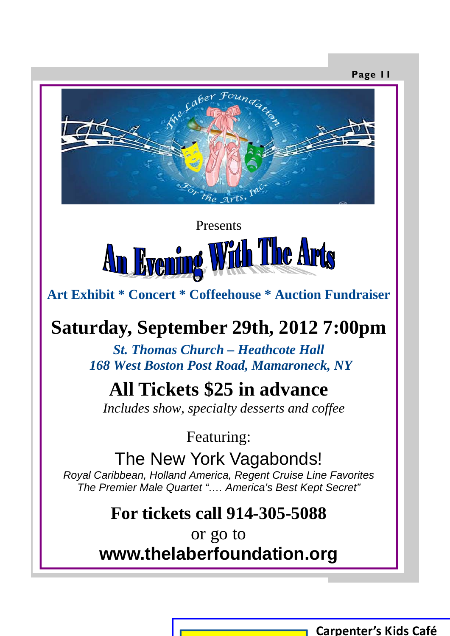



 **Art Exhibit \* Concert \* Coffeehouse \* Auction Fundraiser** 

## **Saturday, September 29th, 2012 7:00pm**

*St. Thomas Church – Heathcote Hall 168 West Boston Post Road, Mamaroneck, NY* 

## **All Tickets \$25 in advance**

 *Includes show, specialty desserts and coffee*

Featuring:

The New York Vagabonds!

*Royal Caribbean, Holland America, Regent Cruise Line Favorites The Premier Male Quartet "…. America's Best Kept Secret"* 

## **For tickets call 914-305-5088**

or go to **www.thelaberfoundation.org** 

**Carpenter's Kids Café**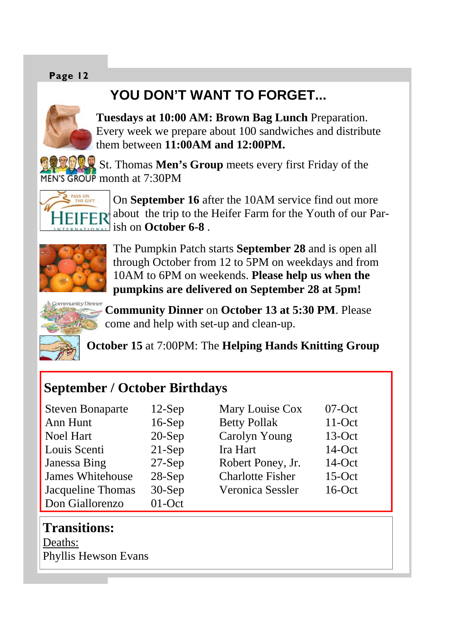## **YOU DON'T WANT TO FORGET...**



**Tuesdays at 10:00 AM: Brown Bag Lunch** Preparation. Every week we prepare about 100 sandwiches and distribute them between **11:00AM and 12:00PM.** 

St. Thomas **Men's Group** meets every first Friday of the MEN'S GROUP month at 7:30PM



On **September 16** after the 10AM service find out more about the trip to the Heifer Farm for the Youth of our Parish on **October 6-8** .



The Pumpkin Patch starts **September 28** and is open all through October from 12 to 5PM on weekdays and from 10AM to 6PM on weekends. **Please help us when the pumpkins are delivered on September 28 at 5pm!**



**Community Dinner** on **October 13 at 5:30 PM**. Please come and help with set-up and clean-up.

**October 15** at 7:00PM: The **Helping Hands Knitting Group** 

 $07-Oct$  $11-Oct$  $13-Oct$  $14$ -Oct  $14$ -Oct  $15-Oct$  $16-Ort$ 

### **September / October Birthdays**

| <b>Steven Bonaparte</b> | $12$ -Sep | Mary Louise Cox         |
|-------------------------|-----------|-------------------------|
| Ann Hunt                | $16-Sep$  | <b>Betty Pollak</b>     |
| Noel Hart               | $20-Sep$  | Carolyn Young           |
| Louis Scenti            | $21-Sep$  | Ira Hart                |
| Janessa Bing            | $27-Sep$  | Robert Poney, Jr.       |
| James Whitehouse        | $28-Sep$  | <b>Charlotte Fisher</b> |
| Jacqueline Thomas       | $30-Sep$  | Veronica Sessler        |
| Don Giallorenzo         | $01$ -Oct |                         |

### **Transitions:**

Deaths: Phyllis Hewson Evans